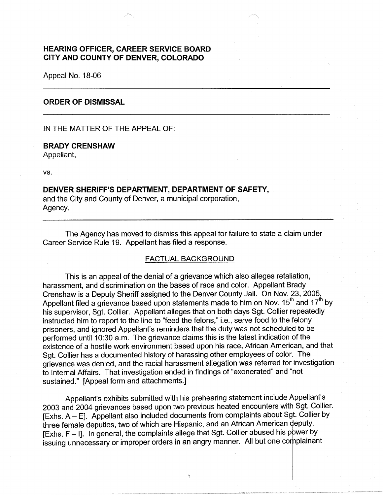## **HEARING OFFICER, CAREER SERVICE BOARD CITY AND COUNTY OF DENVER, COLORADO**

Appeal No. 18-06

### **ORDER OF DISMISSAL**

IN THE MATTER OF THE APPEAL OF:

#### **BRADY CRENSHAW**

Appellant,

vs.

# **DENVER SHERIFF'S DEPARTMENT, DEPARTMENT OF SAFETY,**

and the City and County of Denver, a municipal corporation, Agency.

The Agency has moved to dismiss this appeal for failure to state a claim under Career Service Rule 19. Appellant has filed a response.

### FACTUAL BACKGROUND

This is an appeal of the denial of a grievance which also alleges retaliation, harassment, and discrimination on the bases of race and color. Appellant Brady Crenshaw is a Deputy Sheriff assigned to the Denver County Jail. On Nov. 23, 2005, Appellant filed a grievance based upon statements made to him on Nov.  $15<sup>th</sup>$  and  $17<sup>th</sup>$  by his supervisor, Sgt. Collier. Appellant alleges that on both days Sgt. Collier repeatedly instructed him to report to the line to "feed the felons," i.e., serve food to the felony prisoners, and ignored Appellant's reminders that the duty was not scheduled to be performed until 10:30 a.m. The grievance claims this is the latest indication of the existence of a hostile work environment based upon his race, African American, and that Sgt. Collier has a documented history of harassing other employees of color. The grievance was denied, and the racial harassment allegation was referred for investigation to Internal Affairs. That investigation ended in findings of "exonerated" and "not sustained." [Appeal form and attachments.]

Appellant's exhibits submitted with his prehearing statement include Appellant's 2003 and 2004 grievances based upon two previous heated encounters with Sgt. Collier.  $[Exhs. A - E]$ . Appellant also included documents from complaints about Sgt. Collier by three female deputies, two of which are Hispanic, and an African American deputy.  $[Exhs.  $F - I]$ . In general, the complaints allele that Sgt. Collier abused his power by$ issuing unnecessary or improper orders in an angry manner. All but one complainant

1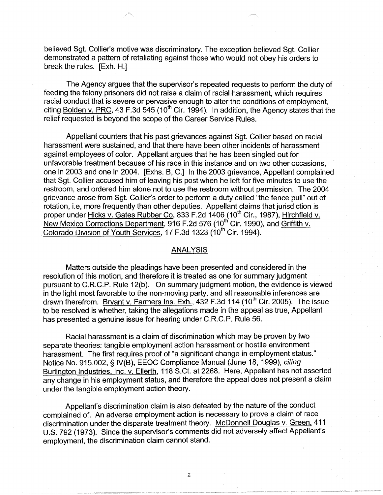believed Sgt. Collier's motive was discriminatory. The exception believed Sgt. Collier demonstrated a pattern of retaliating against those who would not obey his orders to break the rules. [Exh. H.]

The Agency argues that the supervisor's repeated requests to perform the duty of feeding the felony prisoners did not raise a claim of racial harassment, which requires racial conduct that is severe or pervasive enough to alter the conditions of employment, citing Bolden v. PRC,  $43$  F.3d  $545$  ( $10^{th}$  Cir. 1994). In addition, the Agency states that the relief requested is beyond the scope of the Career Service Rules.

Appellant counters that his past grievances against Sgt. Collier based on racial harassment were sustained, and that there have been other incidents of harassment against employees of color. Appellant argues that he has been singled out for unfavorable treatment because of his race in this instance and on two other occasions, one in 2003 and one in 2004. [Exhs. B, C.] In the 2003 grievance, Appellant complained that Sgt. Collier accused him of leaving his post when he left for five minutes to use the restroom, and ordered him alone not to use the restroom without permission. The 2004 grievance arose from Sgt. Collier's order to perform a duty called "the fence pull" out of rotation, i.e, more frequently than other deputies. Appellant claims that jurisdiction is proper under <u>Hicks v. Gates Rubber Co,</u> 833 F.2d 1406 (10<sup>th</sup> Cir., 1987), <u>Hirchfield v.</u> New Mexico Corrections Department, 916 F.2d 576 (10<sup>th</sup> Cir. 1990), and Griffith v. Colorado Division of Youth Services, 17 F.3d 1323 (10<sup>th</sup> Cir. 1994).

### ANALYSIS

Matters outside the pleadings have been presented and considered in the resolution of this motion, and therefore it is treated as one for summary judgment pursuant to C.R.C.P. Rule 12(b). On summary judgment motion, the evidence is viewed in the light most favorable to the non-moving party, and all reasonable inferences are drawn therefrom. Bryant v. Farmers Ins. Exh., 432 F.3d 114 (10<sup>th</sup> Cir. 2005). The issue to be resolved is whether, taking the allegations made in the appeal as true, Appellant has presented a genuine issue for hearing under C.R.C.P. Rule 56.

Racial harassment is a claim of discrimination which may be proven by two separate theories: tangible employment action harassment or hostile environment harassment. The first requires proof of "a significant change in employment status." Notice No. 915.002, § IV(B), EEOC Compliance Manual (June 18, 1999), citing Burlington Industries, Inc. v. Ellerth, 118 S.Ct. at 2268. Here, Appellant has not asserted any change in his employment status, and therefore the appeal does not present a claim under the tangible employment action theory.

Appellant's discrimination claim is also defeated by the nature of the conduct complained of. An adverse employment action is necessary to prove a claim of race discrimination under the disparate treatment theory. McDonnell Douglas v. Green, 411 U.S. 792 (1973). Since the supervisor's comments did not adversely affect Appellant's employment, the discrimination claim cannot stand.

2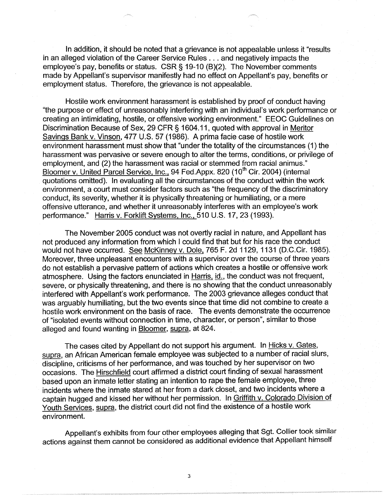In addition, it should be noted that a grievance is not appealable unless it "results in an alleged violation of the Career Service Rules ... and negatively impacts the employee's pay, benefits or status. CSR§ 19-10 (8)(2). The November comments made by Appellant's supervisor manifestly had no effect on Appellant's pay, benefits or employment status. Therefore, the grievance is not appealable.

Hostile work environment harassment is established by proof of conduct having "the purpose or effect of unreasonably interfering with an individual's work performance or creating an intimidating, hostile, or offensive working environment." EEOC Guidelines on Discrimination Because of Sex, 29 CFR § 1604.11, quoted with approval in Meritor Savings Bank v. Vinson, 477 U.S. 57 (1986). A prima facie case of hostile work environment harassment must show that "under the totality of the circumstances (1) the harassment was pervasive or severe enough to alter the terms, conditions, or privilege of employment, and (2) the harassment was racial or stemmed from racial animus." Bloomer v. United Parcel Service, Inc., 94 Fed.Appx. 820 (10<sup>th</sup> Cir. 2004) (internal quotations omitted). In evaluating all the circumstances of the conduct within the work environment, a court must consider factors such as "the frequency of the discriminatory conduct, its severity, whether it is physically threatening or humiliating, or a mere offensive utterance, and whether it unreasonably interferes with an employee's work performance." Harris v. Forklift Systems, Inc., 510 U.S. 17, 23 (1993).

The November 2005 conduct was not overtly racial in nature, and Appellant has not produced any information from which I could find that but for his race the conduct would not have occurred. See McKinney v. Dole, 765 F. 2d 1129, 1131 (D.C.Cir. 1985). Moreover, three unpleasant encounters with a supervisor over the course of three years do not establish a pervasive pattern of actions which creates a hostile or offensive work atmosphere. Using the factors enunciated in Harris, id., the conduct was not frequent, severe, or physically threatening, and there is no showing that the conduct unreasonably interfered with Appellant's work performance. The 2003 grievance alleges conduct that was arguably humiliating, but the two events since that time did not combine to create a hostile work environment on the basis of race. The events demonstrate the occurrence of "isolated events without connection in time, character, or person", similar to those alleged and found wanting in Bloomer, supra, at 824.

The cases cited by Appellant do not support his argument. In Hicks v. Gates, supra, an African American female employee was subjected to a number of racial slurs, discipline, criticisms of her performance, and was touched by her supervisor on two occasions. The **Hirschfield court affirmed a district court finding of sexual harassment** based upon an inmate letter stating an intention to rape the female employee, three incidents where the inmate stared at her from a dark closet, and two incidents where a captain hugged and kissed her without her permission. In Griffith v. Colorado Division of Youth Services, supra, the district court did not find the existence of a hostile work environment.

Appellant's exhibits from four other employees alleging that Sgt. Collier took similar actions against them cannot be considered as additional evidence that Appellant himself